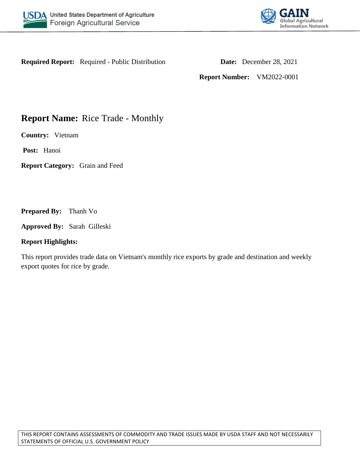



**Required Report:** Required - Public Distribution **Date:** December 28, 2021

**Report Number:** VM2022-0001

# **Report Name:** Rice Trade - Monthly

**Country:** Vietnam

**Post:** Hanoi

**Report Category:** Grain and Feed

**Prepared By:** Thanh Vo

**Approved By:** Sarah Gilleski

#### **Report Highlights:**

This report provides trade data on Vietnam's monthly rice exports by grade and destination and weekly export quotes for rice by grade.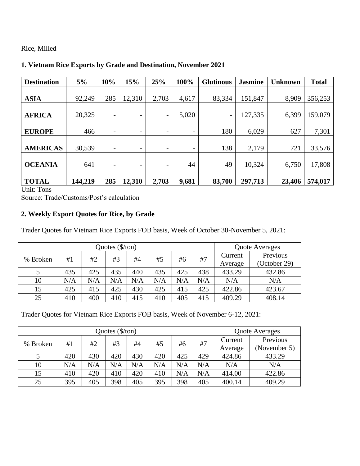Rice, Milled

| <b>Destination</b> | 5%      | 10% | 15%                          | 25%   | 100%                     | <b>Glutinous</b> | <b>Jasmine</b> | <b>Unknown</b> | <b>Total</b> |
|--------------------|---------|-----|------------------------------|-------|--------------------------|------------------|----------------|----------------|--------------|
|                    |         |     |                              |       |                          |                  |                |                |              |
| <b>ASIA</b>        | 92,249  | 285 | 12,310                       | 2,703 | 4,617                    | 83,334           | 151,847        | 8,909          | 356,253      |
|                    |         |     |                              |       |                          |                  |                |                |              |
| <b>AFRICA</b>      | 20,325  | Ξ.  | $\overline{\phantom{0}}$     | -     | 5,020                    | Ξ.               | 127,335        | 6,399          | 159,079      |
|                    |         |     |                              |       |                          |                  |                |                |              |
| <b>EUROPE</b>      | 466     | Ξ.  | $\qquad \qquad \blacksquare$ | -     | -                        | 180              | 6,029          | 627            | 7,301        |
|                    |         |     |                              |       |                          |                  |                |                |              |
| <b>AMERICAS</b>    | 30,539  | -   | $\qquad \qquad \blacksquare$ | -     | $\overline{\phantom{0}}$ | 138              | 2,179          | 721            | 33,576       |
|                    |         |     |                              |       |                          |                  |                |                |              |
| <b>OCEANIA</b>     | 641     | Ξ.  | $\qquad \qquad \blacksquare$ | -     | 44                       | 49               | 10,324         | 6,750          | 17,808       |
|                    |         |     |                              |       |                          |                  |                |                |              |
| <b>TOTAL</b>       | 144,219 | 285 | 12,310                       | 2,703 | 9,681                    | 83,700           | 297,713        | 23,406         | 574,017      |

## **1. Vietnam Rice Exports by Grade and Destination, November 2021**

Unit: Tons

Source: Trade/Customs/Post's calculation

# **2. Weekly Export Quotes for Rice, by Grade**

Trader Quotes for Vietnam Rice Exports FOB basis, Week of October 30-November 5, 2021:

|          |     |     | <b>Quote Averages</b> |     |     |     |     |         |              |
|----------|-----|-----|-----------------------|-----|-----|-----|-----|---------|--------------|
| % Broken | #1  | #2  | #3                    | #4  | #5  | #6  | #7  | Current | Previous     |
|          |     |     |                       |     |     |     |     | Average | (October 29) |
|          | 435 | 425 | 435                   | 440 | 435 | 425 | 438 | 433.29  | 432.86       |
| 10       | N/A | N/A | N/A                   | N/A | N/A | N/A | N/A | N/A     | N/A          |
| 15       | 425 | 415 | 425                   | 430 | 425 | 415 | 425 | 422.86  | 423.67       |
| 25       | 410 | 400 | 410                   | 415 | 410 | 405 | 415 | 409.29  | 408.14       |

Trader Quotes for Vietnam Rice Exports FOB basis, Week of November 6-12, 2021:

|          |     |     | Quote Averages |           |     |     |     |         |              |
|----------|-----|-----|----------------|-----------|-----|-----|-----|---------|--------------|
| % Broken | #1  | #2  | #3             | #4        | #5  | #6  | #7  | Current | Previous     |
|          |     |     |                |           |     |     |     | Average | (November 5) |
|          | 420 | 430 | 420            | 430       | 420 | 425 | 429 | 424.86  | 433.29       |
| 10       | N/A | N/A | N/A            | $\rm N/A$ | N/A | N/A | N/A | N/A     | N/A          |
| 15       | 410 | 420 | 410            | 420       | 410 | N/A | N/A | 414.00  | 422.86       |
| 25       | 395 | 405 | 398            | 405       | 395 | 398 | 405 | 400.14  | 409.29       |